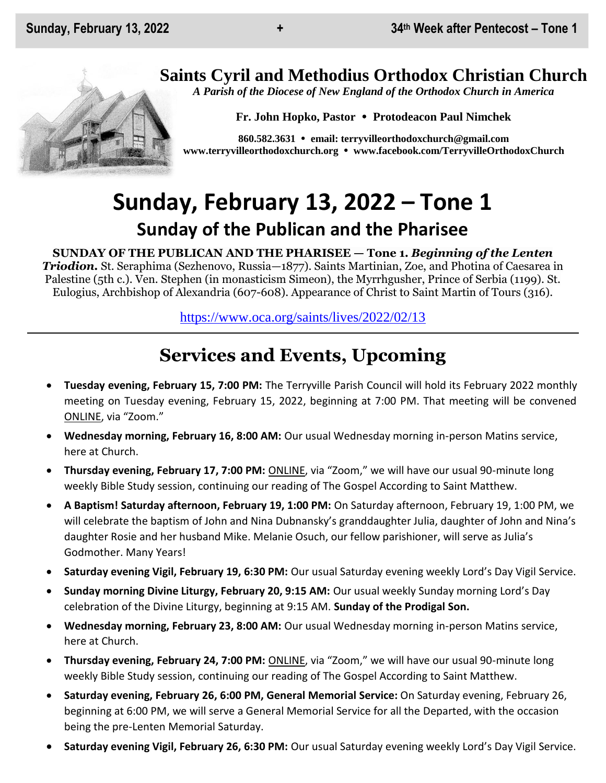# **Saints Cyril and Methodius Orthodox Christian Church**

*A Parish of the Diocese of New England of the Orthodox Church in America*

**Fr. John Hopko, Pastor Protodeacon Paul Nimchek**

**860.582.3631 email: [terryvilleorthodoxchurch@gmail.com](mailto:saintcyril@snet.net) [www.terryvilleorthodoxchurch.org](http://www.terryvilleorthodoxchurch.org/) [www.facebook.com/TerryvilleOrthodoxChurch](http://www.facebook.com/TerryvilleOrthodoxChurch)**

# **Sunday, February 13, 2022 – Tone 1 Sunday of the Publican and the Pharisee**

**SUNDAY OF THE PUBLICAN AND THE PHARISEE — Tone 1.** *Beginning of the Lenten Triodion.* St. Seraphima (Sezhenovo, Russia—1877). Saints Martinian, Zoe, and Photina of Caesarea in Palestine (5th c.). Ven. Stephen (in monasticism Simeon), the Myrrhgusher, Prince of Serbia (1199). St. Eulogius, Archbishop of Alexandria (607-608). Appearance of Christ to Saint Martin of Tours (316).

<https://www.oca.org/saints/lives/2022/02/13>

# **Services and Events, Upcoming**

- **Tuesday evening, February 15, 7:00 PM:** The Terryville Parish Council will hold its February 2022 monthly meeting on Tuesday evening, February 15, 2022, beginning at 7:00 PM. That meeting will be convened ONLINE, via "Zoom."
- **Wednesday morning, February 16, 8:00 AM:** Our usual Wednesday morning in-person Matins service, here at Church.
- **Thursday evening, February 17, 7:00 PM:** ONLINE, via "Zoom," we will have our usual 90-minute long weekly Bible Study session, continuing our reading of The Gospel According to Saint Matthew.
- **A Baptism! Saturday afternoon, February 19, 1:00 PM:** On Saturday afternoon, February 19, 1:00 PM, we will celebrate the baptism of John and Nina Dubnansky's granddaughter Julia, daughter of John and Nina's daughter Rosie and her husband Mike. Melanie Osuch, our fellow parishioner, will serve as Julia's Godmother. Many Years!
- **Saturday evening Vigil, February 19, 6:30 PM:** Our usual Saturday evening weekly Lord's Day Vigil Service.
- **Sunday morning Divine Liturgy, February 20, 9:15 AM:** Our usual weekly Sunday morning Lord's Day celebration of the Divine Liturgy, beginning at 9:15 AM. **Sunday of the Prodigal Son.**
- **Wednesday morning, February 23, 8:00 AM:** Our usual Wednesday morning in-person Matins service, here at Church.
- **Thursday evening, February 24, 7:00 PM:** ONLINE, via "Zoom," we will have our usual 90-minute long weekly Bible Study session, continuing our reading of The Gospel According to Saint Matthew.
- **Saturday evening, February 26, 6:00 PM, General Memorial Service:** On Saturday evening, February 26, beginning at 6:00 PM, we will serve a General Memorial Service for all the Departed, with the occasion being the pre-Lenten Memorial Saturday.
- **Saturday evening Vigil, February 26, 6:30 PM:** Our usual Saturday evening weekly Lord's Day Vigil Service.

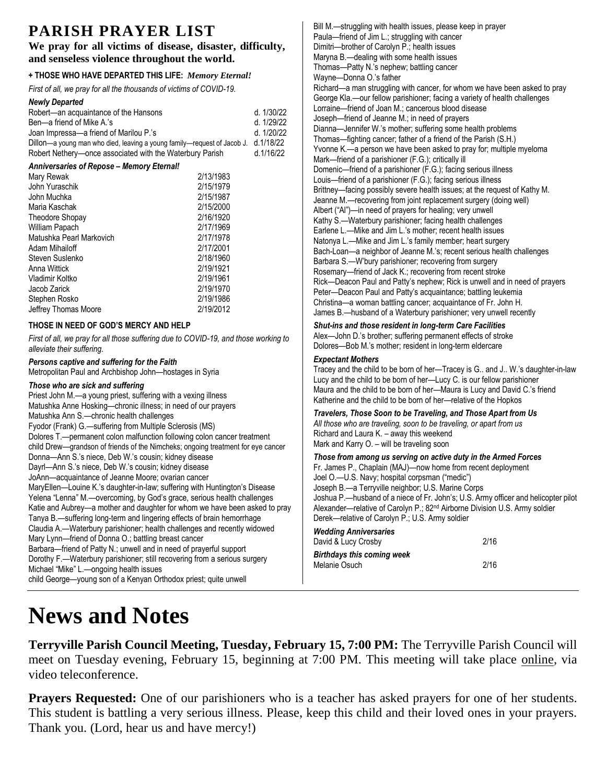# **PARISH PRAYER LIST**

#### **We pray for all victims of disease, disaster, difficulty, and senseless violence throughout the world.**

### **+ THOSE WHO HAVE DEPARTED THIS LIFE:** *Memory Eternal!*

*First of all, we pray for all the thousands of victims of COVID-19.* 

| <b>Newly Departed</b>                                                                              |           |            | George Kla.--our fellow parishioner; fact          |
|----------------------------------------------------------------------------------------------------|-----------|------------|----------------------------------------------------|
| Robert—an acquaintance of the Hansons                                                              |           | d. 1/30/22 | Lorraine-friend of Joan M.; cancerous              |
| Ben-a friend of Mike A.'s                                                                          |           | d. 1/29/22 | Joseph-friend of Jeanne M.; in need o              |
| Joan Impressa-a friend of Marilou P.'s                                                             |           | d. 1/20/22 | Dianna-Jennifer W.'s mother; suffering             |
| Dillon-a young man who died, leaving a young family-request of Jacob J. d.1/18/22                  |           |            | Thomas—fighting cancer; father of a frie.          |
| Robert Nethery-once associated with the Waterbury Parish                                           |           | d.1/16/22  | Yvonne K.-a person we have been as                 |
| Anniversaries of Repose - Memory Eternal!                                                          |           |            | Mark-friend of a parishioner (F.G.); cri           |
| Mary Rewak                                                                                         | 2/13/1983 |            | Domenic—friend of a parishioner (F.G.)             |
| John Yuraschik                                                                                     | 2/15/1979 |            | Louis-friend of a parishioner (F.G.); fact         |
| John Muchka                                                                                        | 2/15/1987 |            | Brittney-facing possibly severe health             |
| Maria Kaschak                                                                                      | 2/15/2000 |            | Jeanne M.-recovering from joint replac             |
| <b>Theodore Shopay</b>                                                                             | 2/16/1920 |            | Albert ("Al")—in need of prayers for hea           |
| William Papach                                                                                     | 2/17/1969 |            | Kathy S.—Waterbury parishioner; facing             |
| Matushka Pearl Markovich                                                                           | 2/17/1978 |            | Earlene L.-Mike and Jim L.'s mother; r             |
| Adam Mihailoff                                                                                     | 2/17/2001 |            | Natonya L.-Mike and Jim L.'s family m              |
|                                                                                                    |           |            | Bach-Loan-a neighbor of Jeanne M.'s                |
| Steven Suslenko                                                                                    | 2/18/1960 |            | Barbara S.-W'bury parishioner; recove              |
| Anna Wittick                                                                                       | 2/19/1921 |            | Rosemary-friend of Jack K.; recoverin              |
| Vladimir Koltko                                                                                    | 2/19/1961 |            | Rick--Deacon Paul and Patty's nephew               |
| Jacob Zarick                                                                                       | 2/19/1970 |            | Peter-Deacon Paul and Patty's acquai               |
| Stephen Rosko                                                                                      | 2/19/1986 |            | Christina-a woman battling cancer; ac              |
| Jeffrey Thomas Moore                                                                               | 2/19/2012 |            | James B.-husband of a Waterbury par                |
| THOSE IN NEED OF GOD'S MERCY AND HELP                                                              |           |            | Shut-ins and those resident in long-t              |
| First of all, we pray for all those suffering due to COVID-19, and those working to                |           |            | Alex—John D.'s brother; suffering perm             |
| alleviate their suffering.                                                                         |           |            | Dolores-Bob M.'s mother; resident in I             |
| Persons captive and suffering for the Faith                                                        |           |            | <b>Expectant Mothers</b>                           |
| Metropolitan Paul and Archbishop John-hostages in Syria                                            |           |            | Tracey and the child to be born of her-            |
|                                                                                                    |           |            | Lucy and the child to be born of her-Lu            |
| Those who are sick and suffering<br>Priest John M.-a young priest, suffering with a vexing illness |           |            | Maura and the child to be born of her-             |
|                                                                                                    |           |            | Katherine and the child to be born of he           |
| Matushka Anne Hosking-chronic illness; in need of our prayers                                      |           |            | Travelers, Those Soon to be Travelin               |
| Matushka Ann S.-chronic health challenges                                                          |           |            | All those who are traveling, soon to be t          |
| Fyodor (Frank) G.-suffering from Multiple Sclerosis (MS)                                           |           |            | Richard and Laura K. - away this week              |
| Dolores T.—permanent colon malfunction following colon cancer treatment                            |           |            | Mark and Karry O. - will be traveling so           |
| child Drew—grandson of friends of the Nimcheks; ongoing treatment for eye cancer                   |           |            |                                                    |
| Donna-Ann S.'s niece, Deb W.'s cousin; kidney disease                                              |           |            | Those from among us serving on act                 |
| Dayrl—Ann S.'s niece, Deb W.'s cousin; kidney disease                                              |           |            | Fr. James P., Chaplain (MAJ)-now hot               |
| JoAnn-acquaintance of Jeanne Moore; ovarian cancer                                                 |           |            | Joel O.-U.S. Navy; hospital corpsman               |
| MaryEllen-Louine K.'s daughter-in-law; suffering with Huntington's Disease                         |           |            | Joseph B.-a Terryville neighbor; U.S. I            |
| Yelena "Lenna" M.- overcoming, by God's grace, serious health challenges                           |           |            | Joshua P.-husband of a niece of Fr. Jo             |
| Katie and Aubrey-a mother and daughter for whom we have been asked to pray                         |           |            | Alexander-relative of Carolyn P.; 82 <sup>nd</sup> |
| Tanya B.-suffering long-term and lingering effects of brain hemorrhage                             |           |            | Derek-relative of Carolyn P.; U.S. Arm             |
| Claudia A.—Waterbury parishioner; health challenges and recently widowed                           |           |            | <b>Wedding Anniversaries</b>                       |
| Mary Lynn-friend of Donna O.; battling breast cancer                                               |           |            | David & Lucy Crosby                                |
| Barbara—friend of Patty N.; unwell and in need of prayerful support                                |           |            | <b>Birthdays this coming week</b>                  |
| Dorothy F.—Waterbury parishioner; still recovering from a serious surgery                          |           |            | Melanie Osuch                                      |
| Michael "Mike" L.-ongoing health issues                                                            |           |            |                                                    |

child George—young son of a Kenyan Orthodox priest; quite unwell

#### Bill M.—struggling with health issues, please keep in prayer Paula—friend of Jim L.; struggling with cancer Dimitri—brother of Carolyn P.; health issues Maryna B.—dealing with some health issues Thomas—Patty N.'s nephew; battling cancer Wayne—Donna O.'s father Richard—a man struggling with cancer, for whom we have been asked to pray cing a variety of health challenges blood disease of prayers g some health problems end of the Parish (S.H.) ked to pray for; multiple myeloma itically ill ); facing serious illness cing serious illness issues; at the request of Kathy M. cement surgery (doing well) aling; very unwell g health challenges recent health issues nember; heart surgery recent serious health challenges ering from surgery g from recent stroke v; Rick is unwell and in need of prayers intance; battling leukemia quaintance of Fr. John H. rishioner; very unwell recently *Shut-ins and those resident in long-term Care Facilities* hanent effects of stroke long-term eldercare

-Tracey is G.. and J.. W.'s daughter-in-law ucy C. is our fellow parishioner Maura is Lucy and David C.'s friend er-relative of the Hopkos

#### *Travelers, Those Soon to be Traveling, and Those Apart from Us All those who are traveling, soon to be traveling, or apart from us* Richard and Laura K. – away this weekend Mark and Karry O. – will be traveling soon

#### *Those from among us serving on active duty in the Armed Forces* me from recent deployment ("medic") Marine Corps hn's; U.S. Army officer and helicopter pilot Airborne Division U.S. Army soldier ny soldier

| <b>Wedding Anniversaries</b> |      |
|------------------------------|------|
| David & Lucy Crosby          | 2/16 |
| Birthdays this coming week   |      |
| Melanie Osuch                | 2/16 |
|                              |      |

# **News and Notes**

**Terryville Parish Council Meeting, Tuesday, February 15, 7:00 PM:** The Terryville Parish Council will meet on Tuesday evening, February 15, beginning at 7:00 PM. This meeting will take place online, via video teleconference.

**Prayers Requested:** One of our parishioners who is a teacher has asked prayers for one of her students. This student is battling a very serious illness. Please, keep this child and their loved ones in your prayers. Thank you. (Lord, hear us and have mercy!)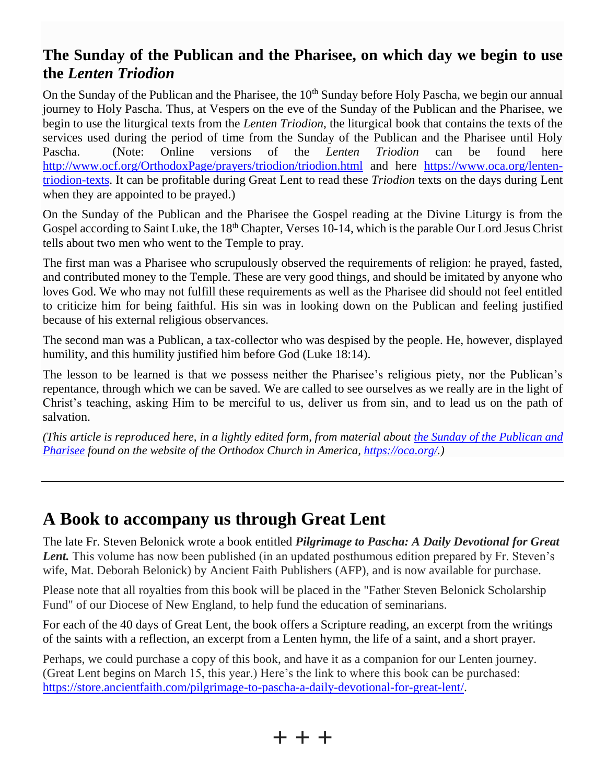# **The Sunday of the Publican and the Pharisee, on which day we begin to use the** *Lenten Triodion*

On the Sunday of the Publican and the Pharisee, the 10<sup>th</sup> Sunday before Holy Pascha, we begin our annual journey to Holy Pascha. Thus, at Vespers on the eve of the Sunday of the Publican and the Pharisee, we begin to use the liturgical texts from the *Lenten Triodion*, the liturgical book that contains the texts of the services used during the period of time from the Sunday of the Publican and the Pharisee until Holy Pascha. (Note: Online versions of the *Lenten Triodion* can be found here <http://www.ocf.org/OrthodoxPage/prayers/triodion/triodion.html> and here [https://www.oca.org/lenten](https://www.oca.org/lenten-triodion-texts)[triodion-texts.](https://www.oca.org/lenten-triodion-texts) It can be profitable during Great Lent to read these *Triodion* texts on the days during Lent when they are appointed to be prayed.)

On the Sunday of the Publican and the Pharisee the Gospel reading at the Divine Liturgy is from the Gospel according to Saint Luke, the 18<sup>th</sup> Chapter, Verses 10-14, which is the parable Our Lord Jesus Christ tells about two men who went to the Temple to pray.

The first man was a Pharisee who scrupulously observed the requirements of religion: he prayed, fasted, and contributed money to the Temple. These are very good things, and should be imitated by anyone who loves God. We who may not fulfill these requirements as well as the Pharisee did should not feel entitled to criticize him for being faithful. His sin was in looking down on the Publican and feeling justified because of his external religious observances.

The second man was a Publican, a tax-collector who was despised by the people. He, however, displayed humility, and this humility justified him before God (Luke 18:14).

The lesson to be learned is that we possess neither the Pharisee's religious piety, nor the Publican's repentance, through which we can be saved. We are called to see ourselves as we really are in the light of Christ's teaching, asking Him to be merciful to us, deliver us from sin, and to lead us on the path of salvation.

*(This article is reproduced here, in a lightly edited form, from material about [the Sunday of the Publican and](https://www.oca.org/saints/lives/2021/02/21/2-sunday-of-the-publican-and-the-pharisee-embeginning-of-the-lente)  [Pharisee](https://www.oca.org/saints/lives/2021/02/21/2-sunday-of-the-publican-and-the-pharisee-embeginning-of-the-lente) found on the website of the Orthodox Church in America, [https://oca.org/.](https://oca.org/))*

# **A Book to accompany us through Great Lent**

The late Fr. Steven Belonick wrote a book entitled *Pilgrimage to Pascha: A Daily Devotional for Great Lent.* This volume has now been published (in an updated posthumous edition prepared by Fr. Steven's wife, Mat. Deborah Belonick) by Ancient Faith Publishers (AFP), and is now available for purchase.

Please note that all royalties from this book will be placed in the "Father Steven Belonick Scholarship Fund" of our Diocese of New England, to help fund the education of seminarians.

For each of the 40 days of Great Lent, the book offers a Scripture reading, an excerpt from the writings of the saints with a reflection, an excerpt from a Lenten hymn, the life of a saint, and a short prayer.

Perhaps, we could purchase a copy of this book, and have it as a companion for our Lenten journey. (Great Lent begins on March 15, this year.) Here's the link to where this book can be purchased: [https://store.ancientfaith.com/pilgrimage-to-pascha-a-daily-devotional-for-great-lent/.](https://store.ancientfaith.com/pilgrimage-to-pascha-a-daily-devotional-for-great-lent/)